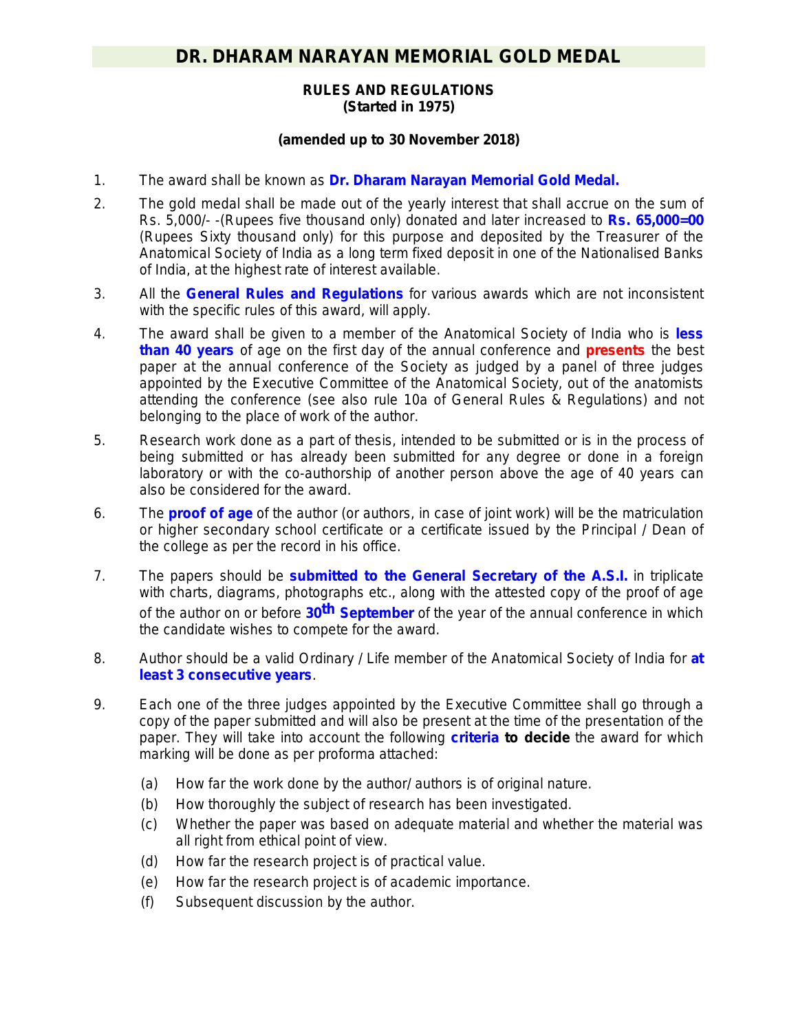## **RULES AND REGULATIONS (Started in 1975)**

## **(amended up to 30 November 2018)**

- 1. The award shall be known as **Dr. Dharam Narayan Memorial Gold Medal.**
- 2. The gold medal shall be made out of the yearly interest that shall accrue on the sum of Rs. 5,000/- -(Rupees five thousand only) donated and later increased to **Rs. 65,000=00** (Rupees Sixty thousand only) for this purpose and deposited by the Treasurer of the Anatomical Society of India as a long term fixed deposit in one of the Nationalised Banks of India, at the highest rate of interest available.
- 3. All the **General Rules and Regulations** for various awards which are not inconsistent with the specific rules of this award, will apply.
- 4. The award shall be given to a member of the Anatomical Society of India who is *less than 40 years* of age on the first day of the annual conference and *presents* the best paper at the annual conference of the Society as judged by a panel of three judges appointed by the Executive Committee of the Anatomical Society, out of the anatomists attending the conference *(see also rule 10a of General Rules & Regulations)* and not belonging to the place of work of the author.
- 5. Research work done as a part of thesis, intended to be submitted or is in the process of being submitted or has already been submitted for any degree or done in a foreign laboratory or with the co-authorship of another person above the age of 40 years can also be considered for the award.
- 6. The **proof of age** of the author (or authors, in case of joint work) will be the matriculation or higher secondary school certificate or a certificate issued by the Principal / Dean of the college as per the record in his office.
- 7. The papers should be **submitted to the General Secretary of the A.S.I.** in triplicate with charts, diagrams, photographs etc., along with the attested copy of the proof of age of the author on or before **30th September** of the year of the annual conference in which the candidate wishes to compete for the award.
- 8. Author should be a valid Ordinary / Life member of the Anatomical Society of India for **at least 3 consecutive years**.
- 9. Each one of the three judges appointed by the Executive Committee shall go through a copy of the paper submitted and will also be present at the time of the presentation of the paper. They will take into account the following **criteria to decide** the award for which marking will be done as per proforma attached:
	- (a) How far the work done by the author/ authors is of original nature.
	- (b) How thoroughly the subject of research has been investigated.
	- (c) Whether the paper was based on adequate material and whether the material was all right from ethical point of view.
	- (d) How far the research project is of practical value.
	- (e) How far the research project is of academic importance.
	- (f) Subsequent discussion by the author.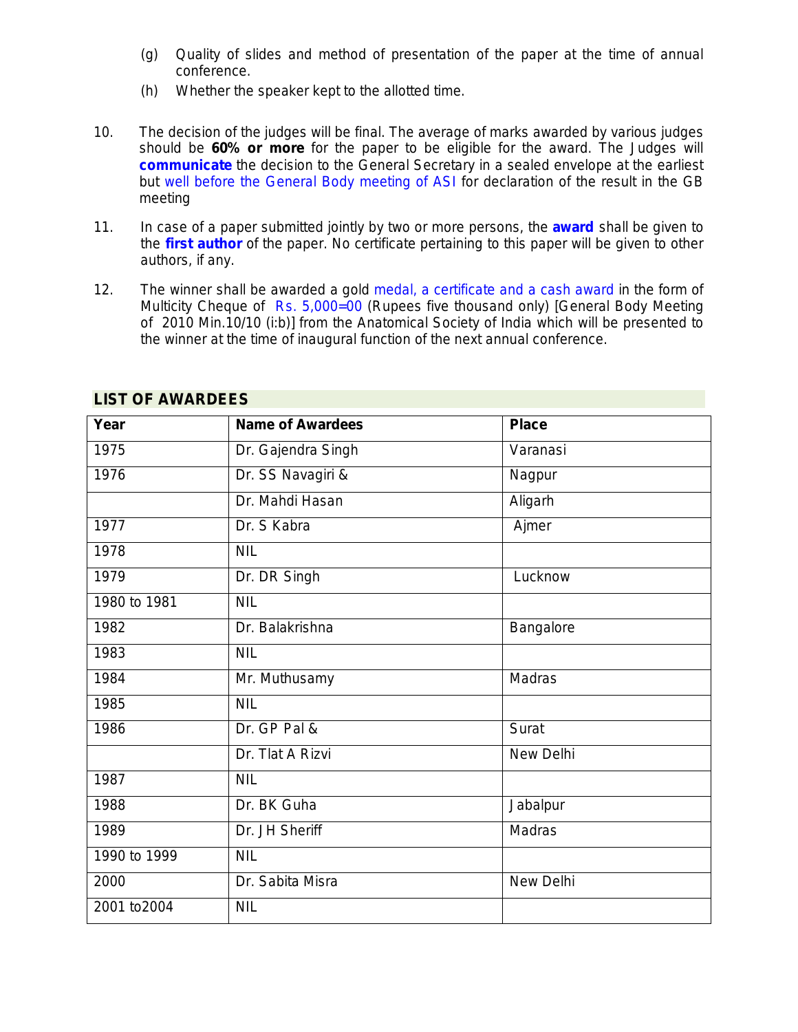- (g) Quality of slides and method of presentation of the paper at the time of annual conference.
- (h) Whether the speaker kept to the allotted time.
- 10. The decision of the judges will be final. The average of marks awarded by various judges should be **60% or more** for the paper to be eligible for the award. The Judges will **communicate** the decision to the General Secretary in a sealed envelope at the earliest but well before the General Body meeting of ASI for declaration of the result in the GB meeting
- 11. In case of a paper submitted jointly by two or more persons, the **award** shall be given to the **first author** of the paper. No certificate pertaining to this paper will be given to other authors, if any.
- 12. The winner shall be awarded a gold medal, a certificate and a cash award in the form of Multicity Cheque of Rs. 5,000=00 (Rupees five thousand only) *[General Body Meeting of 2010 Min.10/10 (i:b)]* from the Anatomical Society of India which will be presented to the winner at the time of inaugural function of the next annual conference.

| Year         | <b>Name of Awardees</b> | <b>Place</b>  |
|--------------|-------------------------|---------------|
| 1975         | Dr. Gajendra Singh      | Varanasi      |
| 1976         | Dr. SS Navagiri &       | Nagpur        |
|              | Dr. Mahdi Hasan         | Aligarh       |
| 1977         | Dr. S Kabra             | Ajmer         |
| 1978         | <b>NIL</b>              |               |
| 1979         | Dr. DR Singh            | Lucknow       |
| 1980 to 1981 | <b>NIL</b>              |               |
| 1982         | Dr. Balakrishna         | Bangalore     |
| 1983         | <b>NIL</b>              |               |
| 1984         | Mr. Muthusamy           | <b>Madras</b> |
| 1985         | <b>NIL</b>              |               |
| 1986         | Dr. GP Pal &            | Surat         |
|              | Dr. Tlat A Rizvi        | New Delhi     |
| 1987         | <b>NIL</b>              |               |
| 1988         | Dr. BK Guha             | Jabalpur      |
| 1989         | Dr. JH Sheriff          | Madras        |
| 1990 to 1999 | <b>NIL</b>              |               |
| 2000         | Dr. Sabita Misra        | New Delhi     |
| 2001 to 2004 | <b>NIL</b>              |               |

## **LIST OF AWARDEES**